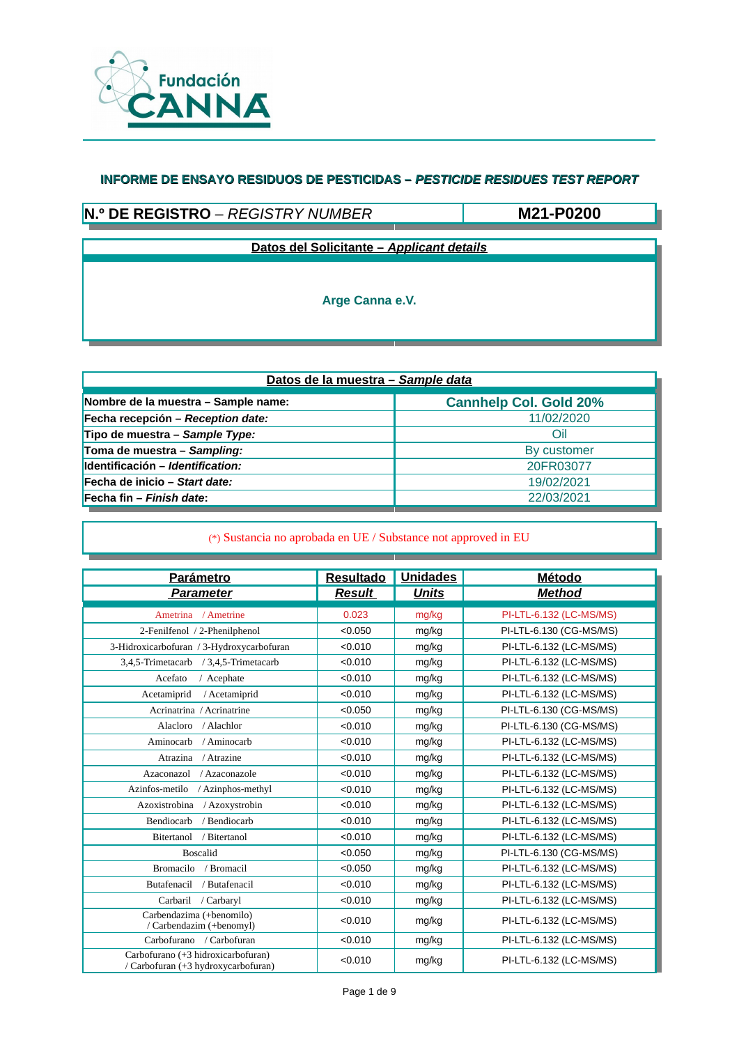

# **N.º DE REGISTRO** – *REGISTRY NUMBER*

**M21-P0200**

**Datos del Solicitante –** *Applicant details*

**Arge Canna e.V.**

| Datos de la muestra - Sample data   |                               |  |  |  |
|-------------------------------------|-------------------------------|--|--|--|
| Nombre de la muestra - Sample name: | <b>Cannhelp Col. Gold 20%</b> |  |  |  |
| Fecha recepción - Reception date:   | 11/02/2020                    |  |  |  |
| Tipo de muestra - Sample Type:      | Oil                           |  |  |  |
| Toma de muestra - Sampling:         | By customer                   |  |  |  |
| Identificación – Identification:    | 20FR03077                     |  |  |  |
| Fecha de inicio – Start date:       | 19/02/2021                    |  |  |  |
| Fecha fin – Finish date:            | 22/03/2021                    |  |  |  |

| <b>Parámetro</b>                                                          | <b>Resultado</b> | <b>Unidades</b> | <b>Método</b>           |
|---------------------------------------------------------------------------|------------------|-----------------|-------------------------|
| <b>Parameter</b>                                                          | <b>Result</b>    | <b>Units</b>    | <b>Method</b>           |
| Ametrina / Ametrine                                                       | 0.023            | mg/kg           | PI-LTL-6.132 (LC-MS/MS) |
| 2-Fenilfenol / 2-Phenilphenol                                             | < 0.050          | mg/kg           | PI-LTL-6.130 (CG-MS/MS) |
| 3-Hidroxicarbofuran / 3-Hydroxycarbofuran                                 | < 0.010          | mg/kg           | PI-LTL-6.132 (LC-MS/MS) |
| 3,4,5-Trimetacarb / 3,4,5-Trimetacarb                                     | < 0.010          | mg/kg           | PI-LTL-6.132 (LC-MS/MS) |
| Acefato<br>/ Acephate                                                     | < 0.010          | mg/kg           | PI-LTL-6.132 (LC-MS/MS) |
| Acetamiprid<br>/ Acetamiprid                                              | < 0.010          | mg/kg           | PI-LTL-6.132 (LC-MS/MS) |
| Acrinatrina / Acrinatrine                                                 | < 0.050          | mg/kg           | PI-LTL-6.130 (CG-MS/MS) |
| Alacloro<br>/ Alachlor                                                    | < 0.010          | mg/kg           | PI-LTL-6.130 (CG-MS/MS) |
| Aminocarb<br>/ Aminocarb                                                  | < 0.010          | mg/kg           | PI-LTL-6.132 (LC-MS/MS) |
| / Atrazine<br>Atrazina                                                    | < 0.010          | mg/kg           | PI-LTL-6.132 (LC-MS/MS) |
| Azaconazol<br>/ Azaconazole                                               | < 0.010          | mg/kg           | PI-LTL-6.132 (LC-MS/MS) |
| Azinfos-metilo<br>/ Azinphos-methyl                                       | < 0.010          | mg/kg           | PI-LTL-6.132 (LC-MS/MS) |
| Azoxistrobina<br>/ Azoxystrobin                                           | < 0.010          | mg/kg           | PI-LTL-6.132 (LC-MS/MS) |
| Bendiocarb<br>/ Bendiocarb                                                | < 0.010          | mg/kg           | PI-LTL-6.132 (LC-MS/MS) |
| / Bitertanol<br><b>Bitertanol</b>                                         | < 0.010          | mg/kg           | PI-LTL-6.132 (LC-MS/MS) |
| <b>Boscalid</b>                                                           | < 0.050          | mg/kg           | PI-LTL-6.130 (CG-MS/MS) |
| Bromacilo<br>/ Bromacil                                                   | < 0.050          | mg/kg           | PI-LTL-6.132 (LC-MS/MS) |
| Butafenacil<br>/ Butafenacil                                              | < 0.010          | mg/kg           | PI-LTL-6.132 (LC-MS/MS) |
| Carbaril<br>/ Carbaryl                                                    | < 0.010          | mg/kg           | PI-LTL-6.132 (LC-MS/MS) |
| Carbendazima (+benomilo)<br>/ Carbendazim (+benomyl)                      | < 0.010          | mg/kg           | PI-LTL-6.132 (LC-MS/MS) |
| Carbofurano / Carbofuran                                                  | < 0.010          | mg/kg           | PI-LTL-6.132 (LC-MS/MS) |
| Carbofurano (+3 hidroxicarbofuran)<br>/ Carbofuran (+3 hydroxycarbofuran) | < 0.010          | mg/kg           | PI-LTL-6.132 (LC-MS/MS) |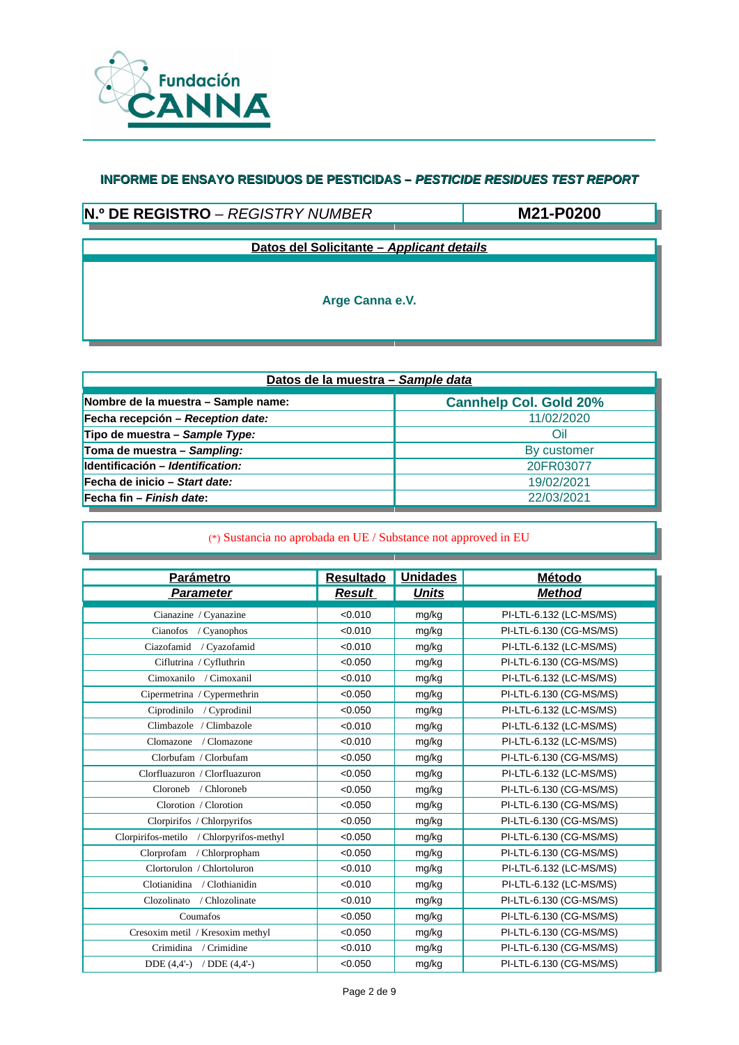

# **N.º DE REGISTRO** – *REGISTRY NUMBER*

**M21-P0200**

**Datos del Solicitante –** *Applicant details*

**Arge Canna e.V.**

| Datos de la muestra - Sample data   |                               |  |  |  |
|-------------------------------------|-------------------------------|--|--|--|
| Nombre de la muestra - Sample name: | <b>Cannhelp Col. Gold 20%</b> |  |  |  |
| Fecha recepción – Reception date:   | 11/02/2020                    |  |  |  |
| Tipo de muestra - Sample Type:      | Oil                           |  |  |  |
| Toma de muestra - Sampling:         | By customer                   |  |  |  |
| Identificación - Identification:    | 20FR03077                     |  |  |  |
| Fecha de inicio – Start date:       | 19/02/2021                    |  |  |  |
| Fecha fin - Finish date:            | 22/03/2021                    |  |  |  |

| <b>Parámetro</b>                         | <b>Resultado</b> | <b>Unidades</b> | Método                  |
|------------------------------------------|------------------|-----------------|-------------------------|
| <b>Parameter</b>                         | <b>Result</b>    | <b>Units</b>    | <b>Method</b>           |
| Cianazine / Cyanazine                    | < 0.010          | mg/kg           | PI-LTL-6.132 (LC-MS/MS) |
| Cianofos<br>/ Cyanophos                  | < 0.010          | mg/kg           | PI-LTL-6.130 (CG-MS/MS) |
| Ciazofamid / Cyazofamid                  | < 0.010          | mg/kg           | PI-LTL-6.132 (LC-MS/MS) |
| Ciflutrina / Cyfluthrin                  | < 0.050          | mg/kg           | PI-LTL-6.130 (CG-MS/MS) |
| Cimoxanilo / Cimoxanil                   | < 0.010          | mg/kg           | PI-LTL-6.132 (LC-MS/MS) |
| Cipermetrina / Cypermethrin              | < 0.050          | mg/kg           | PI-LTL-6.130 (CG-MS/MS) |
| Ciprodinilo / Cyprodinil                 | < 0.050          | mg/kg           | PI-LTL-6.132 (LC-MS/MS) |
| Climbazole / Climbazole                  | < 0.010          | mg/kg           | PI-LTL-6.132 (LC-MS/MS) |
| Clomazone / Clomazone                    | < 0.010          | mg/kg           | PI-LTL-6.132 (LC-MS/MS) |
| Clorbufam / Clorbufam                    | < 0.050          | mg/kg           | PI-LTL-6.130 (CG-MS/MS) |
| Clorfluazuron / Clorfluazuron            | < 0.050          | mg/kg           | PI-LTL-6.132 (LC-MS/MS) |
| Cloroneb<br>/ Chloroneb                  | < 0.050          | mg/kg           | PI-LTL-6.130 (CG-MS/MS) |
| Clorotion / Clorotion                    | < 0.050          | mg/kg           | PI-LTL-6.130 (CG-MS/MS) |
| Clorpirifos / Chlorpyrifos               | < 0.050          | mg/kg           | PI-LTL-6.130 (CG-MS/MS) |
| Clorpirifos-metilo / Chlorpyrifos-methyl | < 0.050          | mg/kg           | PI-LTL-6.130 (CG-MS/MS) |
| Clorprofam / Chlorpropham                | < 0.050          | mg/kg           | PI-LTL-6.130 (CG-MS/MS) |
| Clortorulon / Chlortoluron               | < 0.010          | mg/kg           | PI-LTL-6.132 (LC-MS/MS) |
| Clotianidina / Clothianidin              | < 0.010          | mg/kg           | PI-LTL-6.132 (LC-MS/MS) |
| / Chlozolinate<br>Clozolinato            | < 0.010          | mg/kg           | PI-LTL-6.130 (CG-MS/MS) |
| Coumafos                                 | < 0.050          | mg/kg           | PI-LTL-6.130 (CG-MS/MS) |
| Cresoxim metil / Kresoxim methyl         | < 0.050          | mg/kg           | PI-LTL-6.130 (CG-MS/MS) |
| Crimidina<br>/ Crimidine                 | < 0.010          | mg/kg           | PI-LTL-6.130 (CG-MS/MS) |
| DDE $(4,4'-)$ / DDE $(4,4')$             | < 0.050          | mg/kg           | PI-LTL-6.130 (CG-MS/MS) |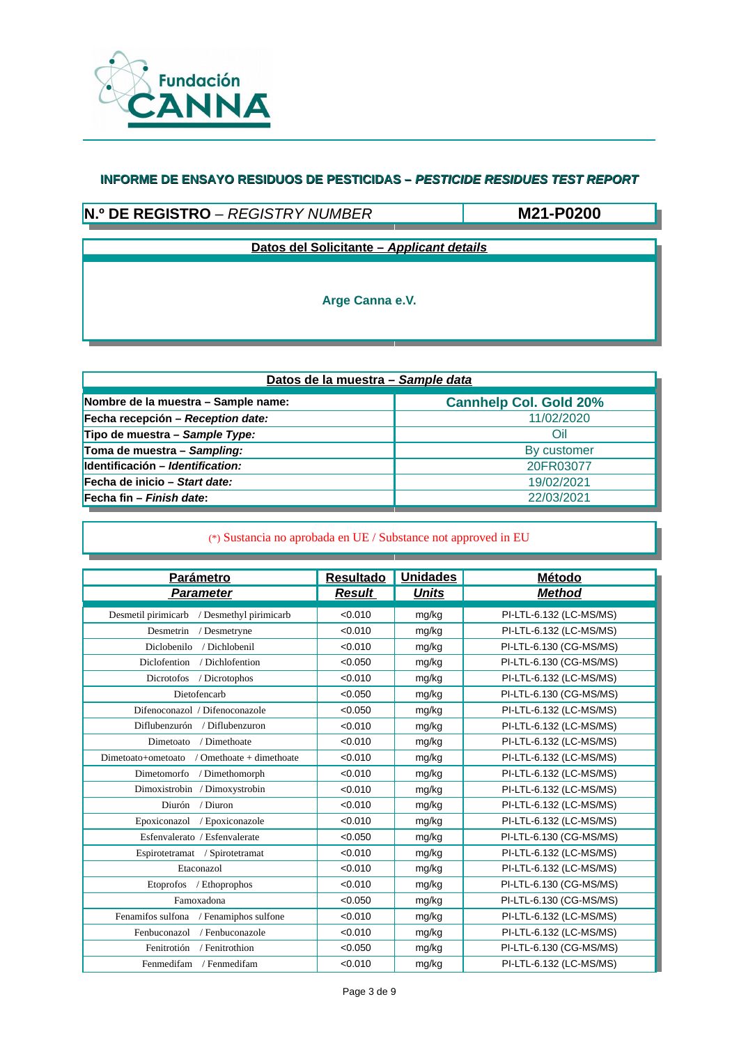

# **N.º DE REGISTRO** – *REGISTRY NUMBER*

**M21-P0200**

**Datos del Solicitante –** *Applicant details*

**Arge Canna e.V.**

| Datos de la muestra - Sample data   |                               |  |  |  |
|-------------------------------------|-------------------------------|--|--|--|
| Nombre de la muestra - Sample name: | <b>Cannhelp Col. Gold 20%</b> |  |  |  |
| Fecha recepción - Reception date:   | 11/02/2020                    |  |  |  |
| Tipo de muestra - Sample Type:      | Oil                           |  |  |  |
| Toma de muestra - Sampling:         | By customer                   |  |  |  |
| Identificación - Identification:    | 20FR03077                     |  |  |  |
| Fecha de inicio - Start date:       | 19/02/2021                    |  |  |  |
| Fecha fin - Finish date:            | 22/03/2021                    |  |  |  |

| <b>Parámetro</b>                               | <b>Resultado</b> | <b>Unidades</b> | Método                  |
|------------------------------------------------|------------------|-----------------|-------------------------|
| <b>Parameter</b>                               | <b>Result</b>    | <b>Units</b>    | <b>Method</b>           |
| Desmetil pirimicarb<br>/ Desmethyl pirimicarb  | < 0.010          | mg/kg           | PI-LTL-6.132 (LC-MS/MS) |
| / Desmetryne<br>Desmetrin                      | < 0.010          | mg/kg           | PI-LTL-6.132 (LC-MS/MS) |
| Diclobenilo<br>/ Dichlobenil                   | < 0.010          | mg/kg           | PI-LTL-6.130 (CG-MS/MS) |
| Diclofention<br>/ Dichlofention                | < 0.050          | mg/kg           | PI-LTL-6.130 (CG-MS/MS) |
| Dicrotofos<br>/ Dicrotophos                    | < 0.010          | mg/kg           | PI-LTL-6.132 (LC-MS/MS) |
| Dietofencarb                                   | < 0.050          | mg/kg           | PI-LTL-6.130 (CG-MS/MS) |
| Difenoconazol / Difenoconazole                 | < 0.050          | mg/kg           | PI-LTL-6.132 (LC-MS/MS) |
| Diflubenzurón / Diflubenzuron                  | < 0.010          | mg/kg           | PI-LTL-6.132 (LC-MS/MS) |
| / Dimethoate<br>Dimetoato                      | < 0.010          | mg/kg           | PI-LTL-6.132 (LC-MS/MS) |
| / Omethoate + dimethoate<br>Dimetoato+ometoato | < 0.010          | mg/kg           | PI-LTL-6.132 (LC-MS/MS) |
| Dimetomorfo<br>/ Dimethomorph                  | < 0.010          | mg/kg           | PI-LTL-6.132 (LC-MS/MS) |
| Dimoxistrobin / Dimoxystrobin                  | < 0.010          | mg/kg           | PI-LTL-6.132 (LC-MS/MS) |
| / Diuron<br>Diurón                             | < 0.010          | mg/kg           | PI-LTL-6.132 (LC-MS/MS) |
| Epoxiconazol<br>/ Epoxiconazole                | < 0.010          | mg/kg           | PI-LTL-6.132 (LC-MS/MS) |
| Esfenvalerato / Esfenvalerate                  | < 0.050          | mg/kg           | PI-LTL-6.130 (CG-MS/MS) |
| Espirotetramat / Spirotetramat                 | < 0.010          | mg/kg           | PI-LTL-6.132 (LC-MS/MS) |
| Etaconazol                                     | < 0.010          | mg/kg           | PI-LTL-6.132 (LC-MS/MS) |
| Etoprofos / Ethoprophos                        | < 0.010          | mg/kg           | PI-LTL-6.130 (CG-MS/MS) |
| Famoxadona                                     | < 0.050          | mg/kg           | PI-LTL-6.130 (CG-MS/MS) |
| Fenamifos sulfona<br>/ Fenamiphos sulfone      | < 0.010          | mg/kg           | PI-LTL-6.132 (LC-MS/MS) |
| / Fenbuconazole<br>Fenbuconazol                | < 0.010          | mg/kg           | PI-LTL-6.132 (LC-MS/MS) |
| Fenitrotión<br>/ Fenitrothion                  | < 0.050          | mg/kg           | PI-LTL-6.130 (CG-MS/MS) |
| Fenmedifam<br>/ Fenmedifam                     | < 0.010          | mg/kg           | PI-LTL-6.132 (LC-MS/MS) |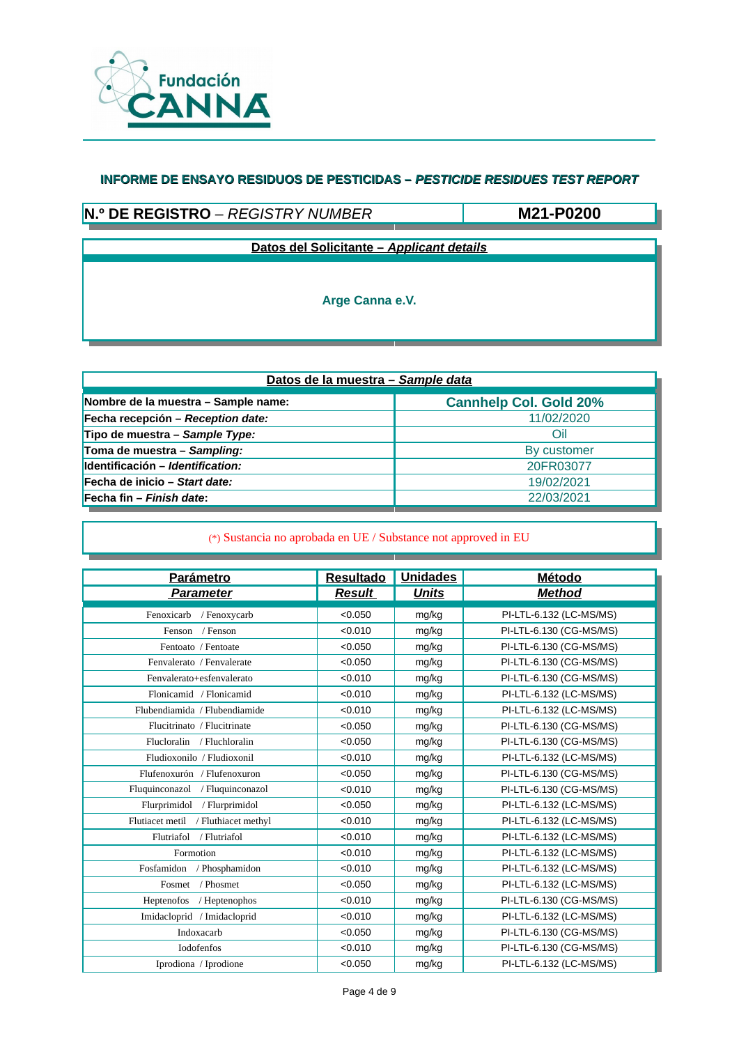

# **N.º DE REGISTRO** – *REGISTRY NUMBER*

**M21-P0200**

**Datos del Solicitante –** *Applicant details*

**Arge Canna e.V.**

| Datos de la muestra - Sample data   |                               |  |  |  |
|-------------------------------------|-------------------------------|--|--|--|
| Nombre de la muestra - Sample name: | <b>Cannhelp Col. Gold 20%</b> |  |  |  |
| Fecha recepción – Reception date:   | 11/02/2020                    |  |  |  |
| Tipo de muestra - Sample Type:      | Oil                           |  |  |  |
| Toma de muestra - Sampling:         | By customer                   |  |  |  |
| Identificación - Identification:    | 20FR03077                     |  |  |  |
| Fecha de inicio – Start date:       | 19/02/2021                    |  |  |  |
| Fecha fin - Finish date:            | 22/03/2021                    |  |  |  |

| Parámetro                              | <b>Resultado</b> | <b>Unidades</b> | Método                  |
|----------------------------------------|------------------|-----------------|-------------------------|
| <b>Parameter</b>                       | <b>Result</b>    | <b>Units</b>    | <b>Method</b>           |
| Fenoxicarb<br>/ Fenoxycarb             | < 0.050          | mg/kg           | PI-LTL-6.132 (LC-MS/MS) |
| / Fenson<br>Fenson                     | < 0.010          | mg/kg           | PI-LTL-6.130 (CG-MS/MS) |
| Fentoato / Fentoate                    | < 0.050          | mg/kg           | PI-LTL-6.130 (CG-MS/MS) |
| Fenvalerato / Fenvalerate              | < 0.050          | mg/kg           | PI-LTL-6.130 (CG-MS/MS) |
| Fenvalerato+esfenvalerato              | < 0.010          | mg/kg           | PI-LTL-6.130 (CG-MS/MS) |
| Flonicamid / Flonicamid                | < 0.010          | mg/kg           | PI-LTL-6.132 (LC-MS/MS) |
| Flubendiamida / Flubendiamide          | < 0.010          | mg/kg           | PI-LTL-6.132 (LC-MS/MS) |
| Flucitrinato / Flucitrinate            | < 0.050          | mg/kg           | PI-LTL-6.130 (CG-MS/MS) |
| Flucloralin / Fluchloralin             | < 0.050          | mg/kg           | PI-LTL-6.130 (CG-MS/MS) |
| Fludioxonilo / Fludioxonil             | < 0.010          | mg/kg           | PI-LTL-6.132 (LC-MS/MS) |
| Flufenoxurón / Flufenoxuron            | < 0.050          | mg/kg           | PI-LTL-6.130 (CG-MS/MS) |
| Fluquinconazol / Fluquinconazol        | < 0.010          | mg/kg           | PI-LTL-6.130 (CG-MS/MS) |
| Flurprimidol<br>/ Flurprimidol         | < 0.050          | mg/kg           | PI-LTL-6.132 (LC-MS/MS) |
| Flutiacet metil<br>/ Fluthiacet methyl | < 0.010          | mg/kg           | PI-LTL-6.132 (LC-MS/MS) |
| Flutriafol<br>/ Flutriafol             | < 0.010          | mg/kg           | PI-LTL-6.132 (LC-MS/MS) |
| Formotion                              | < 0.010          | mg/kg           | PI-LTL-6.132 (LC-MS/MS) |
| Fosfamidon / Phosphamidon              | < 0.010          | mg/kg           | PI-LTL-6.132 (LC-MS/MS) |
| / Phosmet<br>Fosmet                    | < 0.050          | mg/kg           | PI-LTL-6.132 (LC-MS/MS) |
| Heptenofos / Heptenophos               | < 0.010          | mg/kg           | PI-LTL-6.130 (CG-MS/MS) |
| Imidacloprid / Imidacloprid            | < 0.010          | mg/kg           | PI-LTL-6.132 (LC-MS/MS) |
| Indoxacarb                             | < 0.050          | mg/kg           | PI-LTL-6.130 (CG-MS/MS) |
| Iodofenfos                             | < 0.010          | mg/kg           | PI-LTL-6.130 (CG-MS/MS) |
| Iprodiona / Iprodione                  | < 0.050          | mg/kg           | PI-LTL-6.132 (LC-MS/MS) |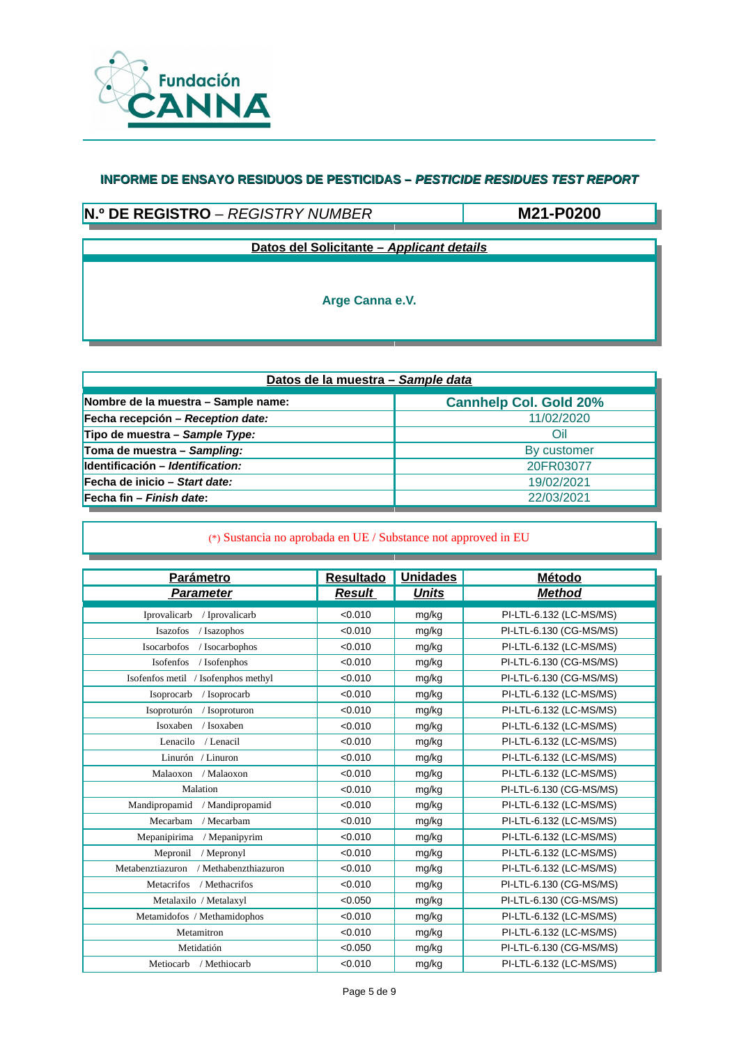

# **N.º DE REGISTRO** – *REGISTRY NUMBER*

**M21-P0200**

**Datos del Solicitante –** *Applicant details*

**Arge Canna e.V.**

| Datos de la muestra - Sample data   |                               |  |  |  |
|-------------------------------------|-------------------------------|--|--|--|
| Nombre de la muestra - Sample name: | <b>Cannhelp Col. Gold 20%</b> |  |  |  |
| Fecha recepción - Reception date:   | 11/02/2020                    |  |  |  |
| Tipo de muestra - Sample Type:      | Oil                           |  |  |  |
| Toma de muestra - Sampling:         | By customer                   |  |  |  |
| Identificación - Identification:    | 20FR03077                     |  |  |  |
| Fecha de inicio - Start date:       | 19/02/2021                    |  |  |  |
| Fecha fin – Finish date:            | 22/03/2021                    |  |  |  |

| Parámetro                                | <b>Resultado</b> | <b>Unidades</b> | Método                  |
|------------------------------------------|------------------|-----------------|-------------------------|
| <b>Parameter</b>                         | <b>Result</b>    | <b>Units</b>    | <b>Method</b>           |
| / Iprovalicarb<br>Iprovalicarb           | < 0.010          | mg/kg           | PI-LTL-6.132 (LC-MS/MS) |
| Isazofos<br>/ Isazophos                  | < 0.010          | mg/kg           | PI-LTL-6.130 (CG-MS/MS) |
| Isocarbofos<br>/ Isocarbophos            | < 0.010          | mg/kg           | PI-LTL-6.132 (LC-MS/MS) |
| Isofenfos<br>/ Isofenphos                | < 0.010          | mg/kg           | PI-LTL-6.130 (CG-MS/MS) |
| Isofenfos metil<br>/ Isofenphos methyl   | < 0.010          | mg/kg           | PI-LTL-6.130 (CG-MS/MS) |
| / Isoprocarb<br>Isoprocarb               | < 0.010          | mg/kg           | PI-LTL-6.132 (LC-MS/MS) |
| Isoproturón<br>/ Isoproturon             | < 0.010          | mg/kg           | PI-LTL-6.132 (LC-MS/MS) |
| Isoxaben<br>/ Isoxaben                   | < 0.010          | mg/kg           | PI-LTL-6.132 (LC-MS/MS) |
| Lenacilo<br>/ Lenacil                    | < 0.010          | mg/kg           | PI-LTL-6.132 (LC-MS/MS) |
| Linurón / Linuron                        | < 0.010          | mg/kg           | PI-LTL-6.132 (LC-MS/MS) |
| Malaoxon / Malaoxon                      | < 0.010          | mg/kg           | PI-LTL-6.132 (LC-MS/MS) |
| Malation                                 | < 0.010          | mg/kg           | PI-LTL-6.130 (CG-MS/MS) |
| Mandipropamid<br>/ Mandipropamid         | < 0.010          | mg/kg           | PI-LTL-6.132 (LC-MS/MS) |
| / Mecarbam<br>Mecarbam                   | < 0.010          | mg/kg           | PI-LTL-6.132 (LC-MS/MS) |
| Mepanipirima<br>/ Mepanipyrim            | < 0.010          | mg/kg           | PI-LTL-6.132 (LC-MS/MS) |
| Mepronil<br>/ Mepronyl                   | < 0.010          | mg/kg           | PI-LTL-6.132 (LC-MS/MS) |
| Metabenztiazuron<br>/ Methabenzthiazuron | < 0.010          | mg/kg           | PI-LTL-6.132 (LC-MS/MS) |
| / Methacrifos<br><b>Metacrifos</b>       | < 0.010          | mg/kg           | PI-LTL-6.130 (CG-MS/MS) |
| Metalaxilo / Metalaxyl                   | < 0.050          | mg/kg           | PI-LTL-6.130 (CG-MS/MS) |
| Metamidofos / Methamidophos              | < 0.010          | mg/kg           | PI-LTL-6.132 (LC-MS/MS) |
| Metamitron                               | < 0.010          | mg/kg           | PI-LTL-6.132 (LC-MS/MS) |
| Metidatión                               | < 0.050          | mg/kg           | PI-LTL-6.130 (CG-MS/MS) |
| Metiocarb / Methiocarb                   | < 0.010          | mg/kg           | PI-LTL-6.132 (LC-MS/MS) |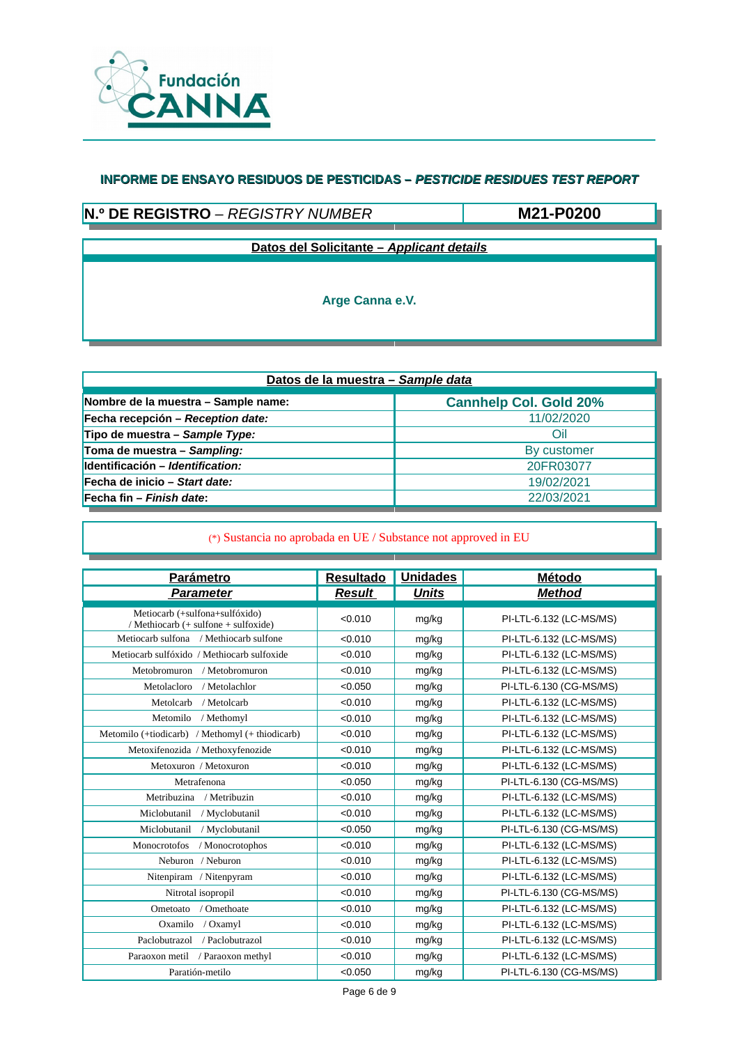

# **N.º DE REGISTRO** – *REGISTRY NUMBER*

**M21-P0200**

**Datos del Solicitante –** *Applicant details*

**Arge Canna e.V.**

| Datos de la muestra - Sample data   |                               |  |  |  |
|-------------------------------------|-------------------------------|--|--|--|
| Nombre de la muestra - Sample name: | <b>Cannhelp Col. Gold 20%</b> |  |  |  |
| Fecha recepción - Reception date:   | 11/02/2020                    |  |  |  |
| Tipo de muestra - Sample Type:      | Oil                           |  |  |  |
| Toma de muestra - Sampling:         | By customer                   |  |  |  |
| Identificación - Identification:    | 20FR03077                     |  |  |  |
| Fecha de inicio - Start date:       | 19/02/2021                    |  |  |  |
| Fecha fin – Finish date:            | 22/03/2021                    |  |  |  |

| <b>Parámetro</b>                                                       | <b>Resultado</b> | <b>Unidades</b> | <b>Método</b>           |
|------------------------------------------------------------------------|------------------|-----------------|-------------------------|
| <b>Parameter</b>                                                       | <b>Result</b>    | <b>Units</b>    | <b>Method</b>           |
| Metiocarb (+sulfona+sulfóxido)<br>/ Methiocarb (+ sulfone + sulfoxide) | < 0.010          | mg/kg           | PI-LTL-6.132 (LC-MS/MS) |
| Metiocarb sulfona / Methiocarb sulfone                                 | < 0.010          | mg/kg           | PI-LTL-6.132 (LC-MS/MS) |
| Metiocarb sulfóxido / Methiocarb sulfoxide                             | < 0.010          | mg/kg           | PI-LTL-6.132 (LC-MS/MS) |
| Metobromuron / Metobromuron                                            | < 0.010          | mg/kg           | PI-LTL-6.132 (LC-MS/MS) |
| Metolacloro<br>/ Metolachlor                                           | < 0.050          | mg/kg           | PI-LTL-6.130 (CG-MS/MS) |
| Metolcarb<br>/ Metolcarb                                               | < 0.010          | mg/kg           | PI-LTL-6.132 (LC-MS/MS) |
| Metomilo<br>/ Methomyl                                                 | < 0.010          | mg/kg           | PI-LTL-6.132 (LC-MS/MS) |
| Metomilo (+tiodicarb) / Methomyl (+ thiodicarb)                        | < 0.010          | mg/kg           | PI-LTL-6.132 (LC-MS/MS) |
| Metoxifenozida / Methoxyfenozide                                       | < 0.010          | mg/kg           | PI-LTL-6.132 (LC-MS/MS) |
| Metoxuron / Metoxuron                                                  | < 0.010          | mg/kg           | PI-LTL-6.132 (LC-MS/MS) |
| Metrafenona                                                            | < 0.050          | mg/kg           | PI-LTL-6.130 (CG-MS/MS) |
| Metribuzina<br>/ Metribuzin                                            | < 0.010          | mg/kg           | PI-LTL-6.132 (LC-MS/MS) |
| Miclobutanil<br>/ Myclobutanil                                         | < 0.010          | mg/kg           | PI-LTL-6.132 (LC-MS/MS) |
| Miclobutanil<br>/ Myclobutanil                                         | < 0.050          | mg/kg           | PI-LTL-6.130 (CG-MS/MS) |
| Monocrotofos<br>/ Monocrotophos                                        | < 0.010          | mg/kg           | PI-LTL-6.132 (LC-MS/MS) |
| Neburon / Neburon                                                      | < 0.010          | mg/kg           | PI-LTL-6.132 (LC-MS/MS) |
| Nitenpiram / Nitenpyram                                                | < 0.010          | mg/kg           | PI-LTL-6.132 (LC-MS/MS) |
| Nitrotal isopropil                                                     | < 0.010          | mg/kg           | PI-LTL-6.130 (CG-MS/MS) |
| / Omethoate<br>Ometoato                                                | < 0.010          | mg/kg           | PI-LTL-6.132 (LC-MS/MS) |
| Oxamilo<br>/ Oxamyl                                                    | < 0.010          | mg/kg           | PI-LTL-6.132 (LC-MS/MS) |
| Paclobutrazol<br>/ Paclobutrazol                                       | < 0.010          | mg/kg           | PI-LTL-6.132 (LC-MS/MS) |
| / Paraoxon methyl<br>Paraoxon metil                                    | < 0.010          | mg/kg           | PI-LTL-6.132 (LC-MS/MS) |
| Paratión-metilo                                                        | < 0.050          | mg/kg           | PI-LTL-6.130 (CG-MS/MS) |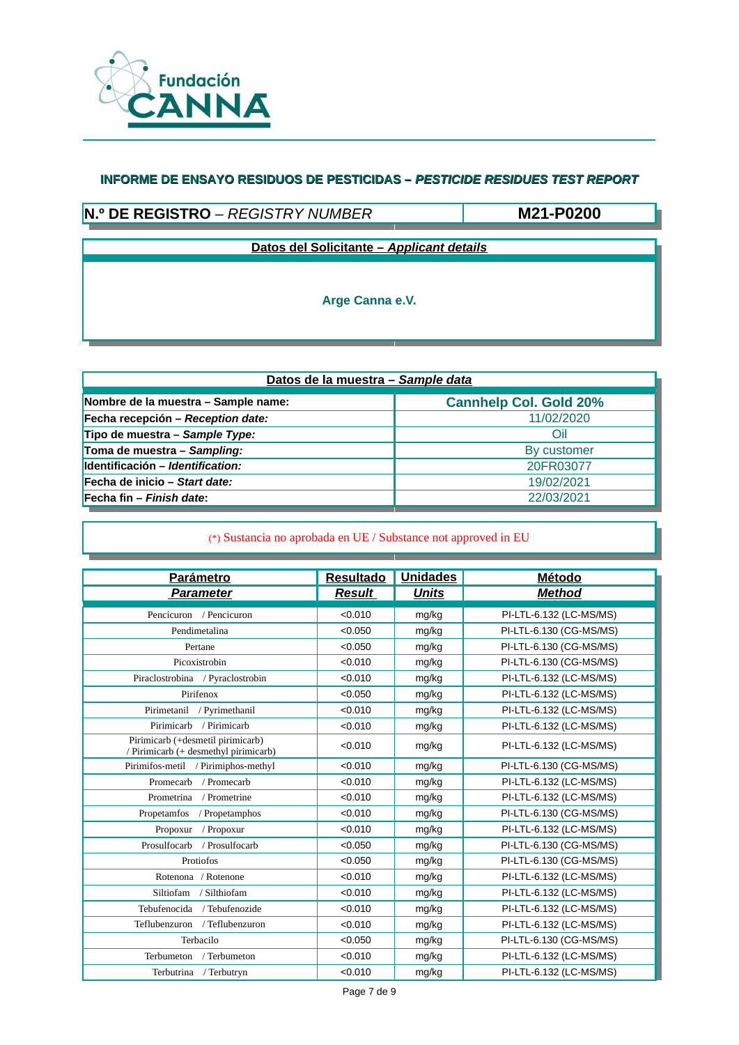

# **N.º DE REGISTRO** – *REGISTRY NUMBER*

**M21-P0200**

**Datos del Solicitante –** *Applicant details*

**Arge Canna e.V.**

| Datos de la muestra - Sample data   |                               |  |  |  |  |
|-------------------------------------|-------------------------------|--|--|--|--|
| Nombre de la muestra - Sample name: | <b>Cannhelp Col. Gold 20%</b> |  |  |  |  |
| Fecha recepción - Reception date:   | 11/02/2020                    |  |  |  |  |
| Tipo de muestra - Sample Type:      | Oil                           |  |  |  |  |
| Toma de muestra - Sampling:         | By customer                   |  |  |  |  |
| Identificación - Identification:    | 20FR03077                     |  |  |  |  |
| Fecha de inicio - Start date:       | 19/02/2021                    |  |  |  |  |
| Fecha fin - Finish date:            | 22/03/2021                    |  |  |  |  |

| <b>Parámetro</b>                                                           | <b>Resultado</b> | <b>Unidades</b> | Método                  |
|----------------------------------------------------------------------------|------------------|-----------------|-------------------------|
| <b>Parameter</b>                                                           | <b>Result</b>    | <b>Units</b>    | <b>Method</b>           |
| Pencicuron / Pencicuron                                                    | < 0.010          | mg/kg           | PI-LTL-6.132 (LC-MS/MS) |
| Pendimetalina                                                              | < 0.050          | mg/kg           | PI-LTL-6.130 (CG-MS/MS) |
| Pertane                                                                    | < 0.050          | mg/kg           | PI-LTL-6.130 (CG-MS/MS) |
| Picoxistrobin                                                              | < 0.010          | mg/kg           | PI-LTL-6.130 (CG-MS/MS) |
| Piraclostrobina / Pyraclostrobin                                           | < 0.010          | mg/kg           | PI-LTL-6.132 (LC-MS/MS) |
| Pirifenox                                                                  | < 0.050          | mg/kg           | PI-LTL-6.132 (LC-MS/MS) |
| Pirimetanil<br>/ Pyrimethanil                                              | < 0.010          | mg/kg           | PI-LTL-6.132 (LC-MS/MS) |
| Pirimicarb<br>/ Pirimicarb                                                 | < 0.010          | mg/kg           | PI-LTL-6.132 (LC-MS/MS) |
| Pirimicarb (+desmetil pirimicarb)<br>/ Pirimicarb (+ desmethyl pirimicarb) | < 0.010          | mg/kg           | PI-LTL-6.132 (LC-MS/MS) |
| Pirimifos-metil / Pirimiphos-methyl                                        | < 0.010          | mg/kg           | PI-LTL-6.130 (CG-MS/MS) |
| Promecarb<br>/ Promecarb                                                   | < 0.010          | mg/kg           | PI-LTL-6.132 (LC-MS/MS) |
| Prometrina<br>/ Prometrine                                                 | < 0.010          | mg/kg           | PI-LTL-6.132 (LC-MS/MS) |
| Propetamfos<br>/ Propetamphos                                              | < 0.010          | mg/kg           | PI-LTL-6.130 (CG-MS/MS) |
| Propoxur<br>/ Propoxur                                                     | < 0.010          | mg/kg           | PI-LTL-6.132 (LC-MS/MS) |
| Prosulfocarb<br>/ Prosulfocarb                                             | < 0.050          | mg/kg           | PI-LTL-6.130 (CG-MS/MS) |
| Protiofos                                                                  | < 0.050          | mg/kg           | PI-LTL-6.130 (CG-MS/MS) |
| Rotenona / Rotenone                                                        | < 0.010          | mg/kg           | PI-LTL-6.132 (LC-MS/MS) |
| Siltiofam<br>/ Silthiofam                                                  | < 0.010          | mg/kg           | PI-LTL-6.132 (LC-MS/MS) |
| Tebufenocida / Tebufenozide                                                | < 0.010          | mg/kg           | PI-LTL-6.132 (LC-MS/MS) |
| Teflubenzuron / Teflubenzuron                                              | < 0.010          | mg/kg           | PI-LTL-6.132 (LC-MS/MS) |
| Terbacilo                                                                  | < 0.050          | mg/kg           | PI-LTL-6.130 (CG-MS/MS) |
| Terbumeton<br>/ Terbumeton                                                 | < 0.010          | mg/kg           | PI-LTL-6.132 (LC-MS/MS) |
| Terbutrina / Terbutryn                                                     | < 0.010          | mg/kg           | PI-LTL-6.132 (LC-MS/MS) |